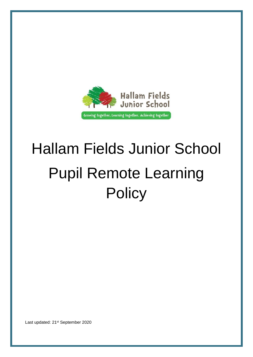

# Hallam Fields Junior School Pupil Remote Learning **Policy**

Last updated: 21st September 2020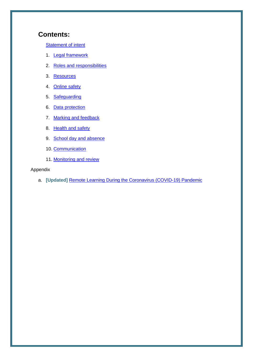# **Contents:**

[Statement of intent](#page-2-0)

- 1. [Legal framework](#page-3-0)
- 2. [Roles and responsibilities](#page-4-0)
- 3. [Resources](#page-7-0)
- 4. [Online safety](#page-8-0)
- 5. [Safeguarding](#page-10-0)
- 6. [Data protection](#page-11-0)
- 7. [Marking and feedback](#page-11-1)
- 8. [Health and safety](#page-12-0)
- 9. [School day and absence](#page-13-0)
- 10. [Communication](#page-13-1)
- 11. [Monitoring and review](#page-14-0)

#### Appendix

a. **[Updated]** [Remote Learning During the Coronavirus \(COVID-19\) Pandemic](#page-15-0)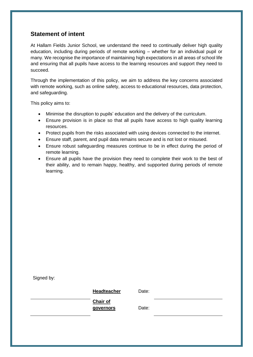# <span id="page-2-0"></span>**Statement of intent**

At Hallam Fields Junior School, we understand the need to continually deliver high quality education, including during periods of remote working – whether for an individual pupil or many. We recognise the importance of maintaining high expectations in all areas of school life and ensuring that all pupils have access to the learning resources and support they need to succeed.

Through the implementation of this policy, we aim to address the key concerns associated with remote working, such as online safety, access to educational resources, data protection, and safeguarding.

This policy aims to:

- Minimise the disruption to pupils' education and the delivery of the curriculum.
- Ensure provision is in place so that all pupils have access to high quality learning resources.
- Protect pupils from the risks associated with using devices connected to the internet.
- Ensure staff, parent, and pupil data remains secure and is not lost or misused.
- Ensure robust safeguarding measures continue to be in effect during the period of remote learning.
- Ensure all pupils have the provision they need to complete their work to the best of their ability, and to remain happy, healthy, and supported during periods of remote learning.

**Headteacher** Date:

**Chair of governors** Date: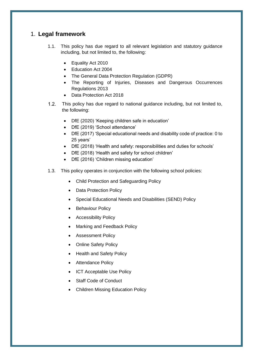## <span id="page-3-0"></span>1. **Legal framework**

- 1.1. This policy has due regard to all relevant legislation and statutory guidance including, but not limited to, the following:
	- Equality Act 2010
	- Education Act 2004
	- The General Data Protection Regulation (GDPR)
	- The Reporting of Injuries, Diseases and Dangerous Occurrences Regulations 2013
	- Data Protection Act 2018
- $1.2.$ This policy has due regard to national guidance including, but not limited to, the following:
	- DfE (2020) 'Keeping children safe in education'
	- DfE (2019) 'School attendance'
	- DfE (2017) 'Special educational needs and disability code of practice: 0 to 25 years'
	- DfE (2018) 'Health and safety: responsibilities and duties for schools'
	- DfE (2018) 'Health and safety for school children'
	- DfE (2016) 'Children missing education'
- 1.3. This policy operates in conjunction with the following school policies:
	- Child Protection and Safeguarding Policy
	- Data Protection Policy
	- Special Educational Needs and Disabilities (SEND) Policy
	- Behaviour Policy
	- **•** Accessibility Policy
	- Marking and Feedback Policy
	- **•** Assessment Policy
	- Online Safety Policy
	- Health and Safety Policy
	- Attendance Policy
	- ICT Acceptable Use Policy
	- Staff Code of Conduct
	- Children Missing Education Policy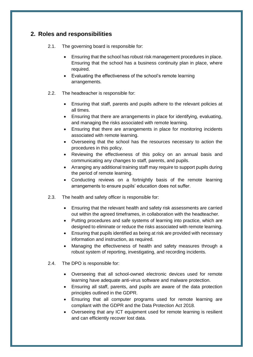# <span id="page-4-0"></span>**2. Roles and responsibilities**

- 2.1. The governing board is responsible for:
	- Ensuring that the school has robust risk management procedures in place. Ensuring that the school has a business continuity plan in place, where required.
	- Evaluating the effectiveness of the school's remote learning arrangements.
- 2.2. The headteacher is responsible for:
	- Ensuring that staff, parents and pupils adhere to the relevant policies at all times.
	- Ensuring that there are arrangements in place for identifying, evaluating, and managing the risks associated with remote learning.
	- Ensuring that there are arrangements in place for monitoring incidents associated with remote learning.
	- Overseeing that the school has the resources necessary to action the procedures in this policy.
	- Reviewing the effectiveness of this policy on an annual basis and communicating any changes to staff, parents, and pupils.
	- Arranging any additional training staff may require to support pupils during the period of remote learning.
	- Conducting reviews on a fortnightly basis of the remote learning arrangements to ensure pupils' education does not suffer.
- 2.3. The health and safety officer is responsible for:
	- Ensuring that the relevant health and safety risk assessments are carried out within the agreed timeframes, in collaboration with the headteacher.
	- Putting procedures and safe systems of learning into practice, which are designed to eliminate or reduce the risks associated with remote learning.
	- Ensuring that pupils identified as being at risk are provided with necessary information and instruction, as required.
	- Managing the effectiveness of health and safety measures through a robust system of reporting, investigating, and recording incidents.
- 2.4. The DPO is responsible for:
	- Overseeing that all school-owned electronic devices used for remote learning have adequate anti-virus software and malware protection.
	- Ensuring all staff, parents, and pupils are aware of the data protection principles outlined in the GDPR.
	- Ensuring that all computer programs used for remote learning are compliant with the GDPR and the Data Protection Act 2018.
	- Overseeing that any ICT equipment used for remote learning is resilient and can efficiently recover lost data.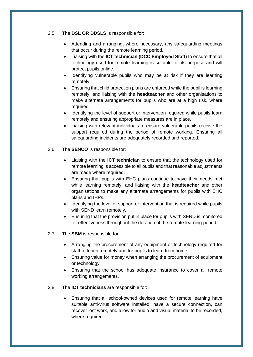2.5. The **DSL OR DDSLS** is responsible for:

- Attending and arranging, where necessary, any safeguarding meetings that occur during the remote learning period.
- Liaising with the **ICT technician (DCC Employed Staff)** to ensure that all technology used for remote learning is suitable for its purpose and will protect pupils online.
- Identifying vulnerable pupils who may be at risk if they are learning remotely.
- Ensuring that child protection plans are enforced while the pupil is learning remotely, and liaising with the **headteacher** and other organisations to make alternate arrangements for pupils who are at a high risk, where required.
- Identifying the level of support or intervention required while pupils learn remotely and ensuring appropriate measures are in place.
- Liaising with relevant individuals to ensure vulnerable pupils receive the support required during the period of remote working. Ensuring all safeguarding incidents are adequately recorded and reported.
- 2.6. The **SENCO** is responsible for:
	- Liaising with the **ICT technician** to ensure that the technology used for remote learning is accessible to all pupils and that reasonable adjustments are made where required.
	- Ensuring that pupils with EHC plans continue to have their needs met while learning remotely, and liaising with the **headteacher** and other organisations to make any alternate arrangements for pupils with EHC plans and IHPs.
	- Identifying the level of support or intervention that is required while pupils with SEND learn remotely.
	- Ensuring that the provision put in place for pupils with SEND is monitored for effectiveness throughout the duration of the remote learning period.
- 2.7. The **SBM** is responsible for:
	- Arranging the procurement of any equipment or technology required for staff to teach remotely and for pupils to learn from home.
	- Ensuring value for money when arranging the procurement of equipment or technology.
	- Ensuring that the school has adequate insurance to cover all remote working arrangements.
- 2.8. The **ICT technicians** are responsible for:
	- Ensuring that all school-owned devices used for remote learning have suitable anti-virus software installed, have a secure connection, can recover lost work, and allow for audio and visual material to be recorded, where required.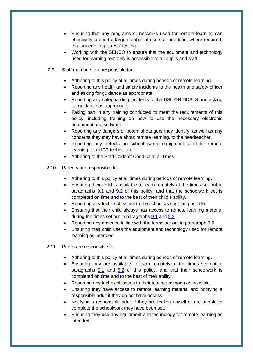- Ensuring that any programs or networks used for remote learning can effectively support a large number of users at one time, where required, e.g. undertaking 'stress' testing.
- Working with the SENCO to ensure that the equipment and technology used for learning remotely is accessible to all pupils and staff.
- 2.9. Staff members are responsible for:
	- Adhering to this policy at all times during periods of remote learning.
	- Reporting any health and safety incidents to the health and safety officer and asking for guidance as appropriate.
	- Reporting any safeguarding incidents to the DSL OR DDSLS and asking for guidance as appropriate.
	- Taking part in any training conducted to meet the requirements of this policy, including training on how to use the necessary electronic equipment and software.
	- Reporting any dangers or potential dangers they identify, as well as any concerns they may have about remote learning, to the headteacher.
	- Reporting any defects on school-owned equipment used for remote learning to an ICT technician.
	- Adhering to the Staff Code of Conduct at all times.
- 2.10. Parents are responsible for:
	- Adhering to this policy at all times during periods of remote learning.
	- Ensuring their child is available to learn remotely at the times set out in paragraphs [9.1](#page-13-2) and [9.2](#page-13-3) of this policy, and that the schoolwork set is completed on time and to the best of their child's ability.
	- Reporting any technical issues to the school as soon as possible.
	- Ensuring that their child always has access to remote learning material during the times set out in paragraphs [9.1](#page-13-2) and [9.2.](#page-13-3)
	- Reporting any absence in line with the terms set out in paragraph [9.6.](#page-13-4)
	- Ensuring their child uses the equipment and technology used for remote learning as intended.
- 2.11. Pupils are responsible for:
	- Adhering to this policy at all times during periods of remote learning.
	- Ensuring they are available to learn remotely at the times set out in paragraphs  $9.1$  and  $9.2$  of this policy, and that their schoolwork is completed on time and to the best of their ability.
	- Reporting any technical issues to their teacher as soon as possible.
	- Ensuring they have access to remote learning material and notifying a responsible adult if they do not have access.
	- Notifying a responsible adult if they are feeling unwell or are unable to complete the schoolwork they have been set.
	- Ensuring they use any equipment and technology for remote learning as intended.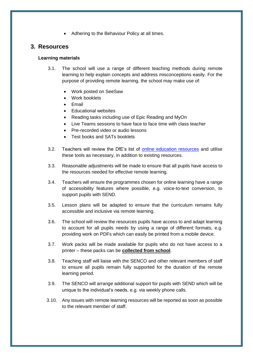• Adhering to the Behaviour Policy at all times.

#### <span id="page-7-0"></span>**3. Resources**

#### **Learning materials**

- 3.1. The school will use a range of different teaching methods during remote learning to help explain concepts and address misconceptions easily. For the purpose of providing remote learning, the school may make use of:
	- Work posted on SeeSaw
	- Work booklets
	- Email
	- Educational websites
	- Reading tasks including use of Epic Reading and MyOn
	- Live Teams sessions to have face to face time with class teacher
	- Pre-recorded video or audio lessons
	- Test books and SATs booklets
- 3.2. Teachers will review the DfE's list of [online education resources](https://www.gov.uk/government/publications/coronavirus-covid-19-online-education-resources) and utilise these tools as necessary, in addition to existing resources.
- 3.3. Reasonable adjustments will be made to ensure that all pupils have access to the resources needed for effective remote learning.
- 3.4. Teachers will ensure the programmes chosen for online learning have a range of accessibility features where possible, e.g. voice-to-text conversion, to support pupils with SEND.
- 3.5. Lesson plans will be adapted to ensure that the curriculum remains fully accessible and inclusive via remote learning.
- 3.6. The school will review the resources pupils have access to and adapt learning to account for all pupils needs by using a range of different formats, e.g. providing work on PDFs which can easily be printed from a mobile device.
- 3.7. Work packs will be made available for pupils who do not have access to a printer – these packs can be **collected from school**.
- 3.8. Teaching staff will liaise with the SENCO and other relevant members of staff to ensure all pupils remain fully supported for the duration of the remote learning period.
- 3.9. The SENCO will arrange additional support for pupils with SEND which will be unique to the individual's needs, e.g. via weekly phone calls.
- 3.10. Any issues with remote learning resources will be reported as soon as possible to the relevant member of staff.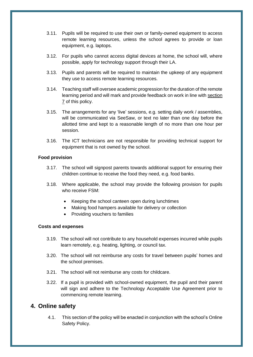- 3.11. Pupils will be required to use their own or family-owned equipment to access remote learning resources, unless the school agrees to provide or loan equipment, e.g. laptops.
- 3.12. For pupils who cannot access digital devices at home, the school will, where possible, apply for technology support through their LA.
- 3.13. Pupils and parents will be required to maintain the upkeep of any equipment they use to access remote learning resources.
- 3.14. Teaching staff will oversee academic progression for the duration of the remote learning period and will mark and provide feedback on work in line with [section](#page-11-1)  [7](#page-11-1) of this policy.
- 3.15. The arrangements for any 'live' sessions, e.g. setting daily work / assemblies, will be communicated via SeeSaw, or text no later than one day before the allotted time and kept to a reasonable length of no more than one hour per session.
- 3.16. The ICT technicians are not responsible for providing technical support for equipment that is not owned by the school.

#### **Food provision**

- 3.17. The school will signpost parents towards additional support for ensuring their children continue to receive the food they need, e.g. food banks.
- 3.18. Where applicable, the school may provide the following provision for pupils who receive FSM:
	- Keeping the school canteen open during lunchtimes
	- Making food hampers available for delivery or collection
	- Providing vouchers to families

#### **Costs and expenses**

- 3.19. The school will not contribute to any household expenses incurred while pupils learn remotely, e.g. heating, lighting, or council tax.
- 3.20. The school will not reimburse any costs for travel between pupils' homes and the school premises.
- 3.21. The school will not reimburse any costs for childcare.
- 3.22. If a pupil is provided with school-owned equipment, the pupil and their parent will sign and adhere to the Technology Acceptable Use Agreement prior to commencing remote learning.

#### <span id="page-8-0"></span>**4. Online safety**

4.1. This section of the policy will be enacted in conjunction with the school's Online Safety Policy.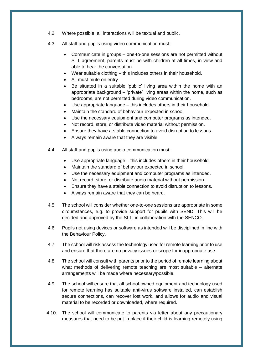- 4.2. Where possible, all interactions will be textual and public.
- 4.3. All staff and pupils using video communication must:
	- Communicate in groups one-to-one sessions are not permitted without SLT agreement, parents must be with children at all times, in view and able to hear the conversation.
	- Wear suitable clothing this includes others in their household.
	- All must mute on entry
	- Be situated in a suitable 'public' living area within the home with an appropriate background – 'private' living areas within the home, such as bedrooms, are not permitted during video communication.
	- Use appropriate language this includes others in their household.
	- Maintain the standard of behaviour expected in school.
	- Use the necessary equipment and computer programs as intended.
	- Not record, store, or distribute video material without permission.
	- Ensure they have a stable connection to avoid disruption to lessons.
	- Always remain aware that they are visible.
- 4.4. All staff and pupils using audio communication must:
	- Use appropriate language this includes others in their household.
	- Maintain the standard of behaviour expected in school.
	- Use the necessary equipment and computer programs as intended.
	- Not record, store, or distribute audio material without permission.
	- Ensure they have a stable connection to avoid disruption to lessons.
	- Always remain aware that they can be heard.
- 4.5. The school will consider whether one-to-one sessions are appropriate in some circumstances, e.g. to provide support for pupils with SEND. This will be decided and approved by the SLT, in collaboration with the SENCO.
- 4.6. Pupils not using devices or software as intended will be disciplined in line with the Behaviour Policy.
- 4.7. The school will risk assess the technology used for remote learning prior to use and ensure that there are no privacy issues or scope for inappropriate use.
- 4.8. The school will consult with parents prior to the period of remote learning about what methods of delivering remote teaching are most suitable – alternate arrangements will be made where necessary/possible.
- 4.9. The school will ensure that all school-owned equipment and technology used for remote learning has suitable anti-virus software installed, can establish secure connections, can recover lost work, and allows for audio and visual material to be recorded or downloaded, where required.
- 4.10. The school will communicate to parents via letter about any precautionary measures that need to be put in place if their child is learning remotely using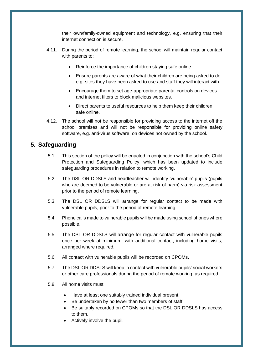their own/family-owned equipment and technology, e.g. ensuring that their internet connection is secure.

- 4.11. During the period of remote learning, the school will maintain regular contact with parents to:
	- Reinforce the importance of children staying safe online.
	- Ensure parents are aware of what their children are being asked to do, e.g. sites they have been asked to use and staff they will interact with.
	- Encourage them to set age-appropriate parental controls on devices and internet filters to block malicious websites.
	- Direct parents to useful resources to help them keep their children safe online.
- 4.12. The school will not be responsible for providing access to the internet off the school premises and will not be responsible for providing online safety software, e.g. anti-virus software, on devices not owned by the school.

## <span id="page-10-0"></span>**5. Safeguarding**

- 5.1. This section of the policy will be enacted in conjunction with the school's Child Protection and Safeguarding Policy, which has been updated to include safeguarding procedures in relation to remote working.
- 5.2. The DSL OR DDSLS and headteacher will identify 'vulnerable' pupils (pupils who are deemed to be vulnerable or are at risk of harm) via risk assessment prior to the period of remote learning.
- 5.3. The DSL OR DDSLS will arrange for regular contact to be made with vulnerable pupils, prior to the period of remote learning.
- 5.4. Phone calls made to vulnerable pupils will be made using school phones where possible.
- 5.5. The DSL OR DDSLS will arrange for regular contact with vulnerable pupils once per week at minimum, with additional contact, including home visits, arranged where required.
- 5.6. All contact with vulnerable pupils will be recorded on CPOMs.
- 5.7. The DSL OR DDSLS will keep in contact with vulnerable pupils' social workers or other care professionals during the period of remote working, as required.
- 5.8. All home visits must:
	- Have at least one suitably trained individual present.
	- Be undertaken by no fewer than two members of staff.
	- Be suitably recorded on CPOMs so that the DSL OR DDSLS has access to them.
	- Actively involve the pupil.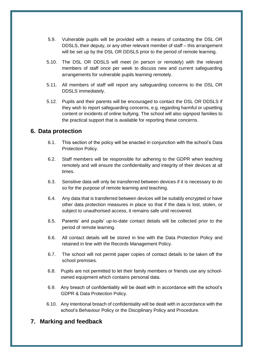- 5.9. Vulnerable pupils will be provided with a means of contacting the DSL OR DDSLS, their deputy, or any other relevant member of staff – this arrangement will be set up by the DSL OR DDSLS prior to the period of remote learning.
- 5.10. The DSL OR DDSLS will meet (in person or remotely) with the relevant members of staff once per week to discuss new and current safeguarding arrangements for vulnerable pupils learning remotely.
- 5.11. All members of staff will report any safeguarding concerns to the DSL OR DDSLS immediately.
- 5.12. Pupils and their parents will be encouraged to contact the DSL OR DDSLS if they wish to report safeguarding concerns, e.g. regarding harmful or upsetting content or incidents of online bullying. The school will also signpost families to the practical support that is available for reporting these concerns.

### <span id="page-11-0"></span>**6. Data protection**

- 6.1. This section of the policy will be enacted in conjunction with the school's Data Protection Policy.
- 6.2. Staff members will be responsible for adhering to the GDPR when teaching remotely and will ensure the confidentiality and integrity of their devices at all times.
- 6.3. Sensitive data will only be transferred between devices if it is necessary to do so for the purpose of remote learning and teaching.
- 6.4. Any data that is transferred between devices will be suitably encrypted or have other data protection measures in place so that if the data is lost, stolen, or subject to unauthorised access, it remains safe until recovered.
- 6.5. Parents' and pupils' up-to-date contact details will be collected prior to the period of remote learning.
- 6.6. All contact details will be stored in line with the Data Protection Policy and retained in line with the Records Management Policy.
- 6.7. The school will not permit paper copies of contact details to be taken off the school premises.
- 6.8. Pupils are not permitted to let their family members or friends use any schoolowned equipment which contains personal data.
- 6.9. Any breach of confidentiality will be dealt with in accordance with the school's GDPR & Data Protection Policy.
- 6.10. Any intentional breach of confidentiality will be dealt with in accordance with the school's Behaviour Policy or the Disciplinary Policy and Procedure.

## <span id="page-11-1"></span>**7. Marking and feedback**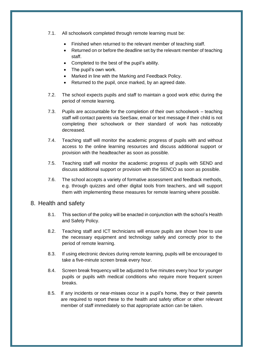- 7.1. All schoolwork completed through remote learning must be:
	- Finished when returned to the relevant member of teaching staff.
	- Returned on or before the deadline set by the relevant member of teaching staff.
	- Completed to the best of the pupil's ability.
	- The pupil's own work.
	- Marked in line with the Marking and Feedback Policy.
	- Returned to the pupil, once marked, by an agreed date.
- 7.2. The school expects pupils and staff to maintain a good work ethic during the period of remote learning.
- 7.3. Pupils are accountable for the completion of their own schoolwork teaching staff will contact parents via SeeSaw, email or text message if their child is not completing their schoolwork or their standard of work has noticeably decreased.
- 7.4. Teaching staff will monitor the academic progress of pupils with and without access to the online learning resources and discuss additional support or provision with the headteacher as soon as possible.
- 7.5. Teaching staff will monitor the academic progress of pupils with SEND and discuss additional support or provision with the SENCO as soon as possible.
- 7.6. The school accepts a variety of formative assessment and feedback methods, e.g. through quizzes and other digital tools from teachers, and will support them with implementing these measures for remote learning where possible.

#### <span id="page-12-0"></span>8. Health and safety

- 8.1. This section of the policy will be enacted in conjunction with the school's Health and Safety Policy.
- 8.2. Teaching staff and ICT technicians will ensure pupils are shown how to use the necessary equipment and technology safely and correctly prior to the period of remote learning.
- 8.3. If using electronic devices during remote learning, pupils will be encouraged to take a five-minute screen break every hour.
- 8.4. Screen break frequency will be adjusted to five minutes every hour for younger pupils or pupils with medical conditions who require more frequent screen breaks.
- 8.5. If any incidents or near-misses occur in a pupil's home, they or their parents are required to report these to the health and safety officer or other relevant member of staff immediately so that appropriate action can be taken.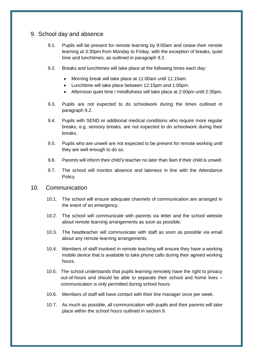#### <span id="page-13-2"></span><span id="page-13-0"></span>9. School day and absence

- 9.1. Pupils will be present for remote learning by 9:00am and cease their remote learning at 3:30pm from Monday to Friday, with the exception of breaks, quiet time and lunchtimes, as outlined in paragraph 9.2.
- <span id="page-13-3"></span>9.2. Breaks and lunchtimes will take place at the following times each day:
	- Morning break will take place at 11:00am until 11:15am.
	- Lunchtime will take place between 12:15pm and 1:00pm.
	- Afternoon quiet time / mindfulness will take place at 2:00pm until 2:30pm.
- 9.3. Pupils are not expected to do schoolwork during the times outlined in paragraph 9.2.
- 9.4. Pupils with SEND or additional medical conditions who require more regular breaks, e.g. sensory breaks, are not expected to do schoolwork during their breaks.
- 9.5. Pupils who are unwell are not expected to be present for remote working until they are well enough to do so.
- <span id="page-13-4"></span>9.6. Parents will inform their child's teacher no later than 9am if their child is unwell.
- 9.7. The school will monitor absence and lateness in line with the Attendance Policy.

#### <span id="page-13-1"></span>10. Communication

- 10.1. The school will ensure adequate channels of communication are arranged in the event of an emergency.
- 10.2. The school will communicate with parents via letter and the school website about remote learning arrangements as soon as possible.
- 10.3. The headteacher will communicate with staff as soon as possible via email about any remote learning arrangements.
- 10.4. Members of staff involved in remote teaching will ensure they have a working mobile device that is available to take phone calls during their agreed working hours.
- 10.5. The school understands that pupils learning remotely have the right to privacy out-of-hours and should be able to separate their school and home lives – communication is only permitted during school hours.
- 10.6. Members of staff will have contact with their line manager once per week.
- 10.7. As much as possible, all communication with pupils and their parents will take place within the school hours outlined in [section 9.](#page-13-0)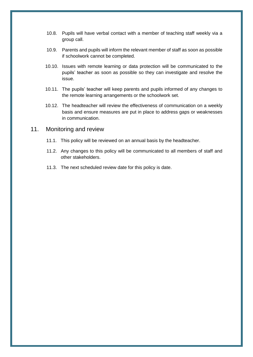- 10.8. Pupils will have verbal contact with a member of teaching staff weekly via a group call.
- 10.9. Parents and pupils will inform the relevant member of staff as soon as possible if schoolwork cannot be completed.
- 10.10. Issues with remote learning or data protection will be communicated to the pupils' teacher as soon as possible so they can investigate and resolve the issue.
- 10.11. The pupils' teacher will keep parents and pupils informed of any changes to the remote learning arrangements or the schoolwork set.
- 10.12. The headteacher will review the effectiveness of communication on a weekly basis and ensure measures are put in place to address gaps or weaknesses in communication.

#### <span id="page-14-0"></span>11. Monitoring and review

- 11.1. This policy will be reviewed on an annual basis by the headteacher.
- 11.2. Any changes to this policy will be communicated to all members of staff and other stakeholders.
- 11.3. The next scheduled review date for this policy is date.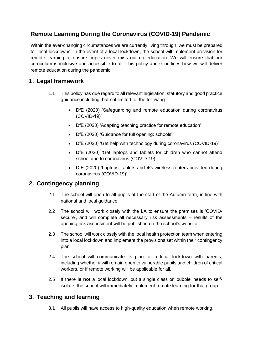# <span id="page-15-0"></span>**Remote Learning During the Coronavirus (COVID-19) Pandemic**

Within the ever-changing circumstances we are currently living through, we must be prepared for local lockdowns. In the event of a local lockdown, the school will implement provision for remote learning to ensure pupils never miss out on education. We will ensure that our curriculum is inclusive and accessible to all. This policy annex outlines how we will deliver remote education during the pandemic.

# **1. Legal framework**

- 1.1 This policy has due regard to all relevant legislation, statutory and good practice guidance including, but not limited to, the following:
	- DfE (2020) 'Safeguarding and remote education during coronavirus (COVID-19)'
	- DfE (2020) 'Adapting teaching practice for remote education'
	- DfE (2020) 'Guidance for full opening: schools'
	- DfE (2020) 'Get help with technology during coronavirus (COVID-19)'
	- DfE (2020) 'Get laptops and tablets for children who cannot attend school due to coronavirus (COVID-19)'
	- DfE (2020) 'Laptops, tablets and 4G wireless routers provided during coronavirus (COVID-19)'

# **2. Contingency planning**

- 2.1 The school will open to all pupils at the start of the Autumn term, in line with national and local guidance.
- 2.2 The school will work closely with the LA to ensure the premises is 'COVIDsecure', and will complete all necessary risk assessments – results of the opening risk assessment will be published on the school's website.
- 2.3 The school will work closely with the local health protection team when entering into a local lockdown and implement the provisions set within their contingency plan.
- 2.4 The school will communicate its plan for a local lockdown with parents, including whether it will remain open to vulnerable pupils and children of critical workers, or if remote working will be applicable for all.
- 2.5 If there **is not** a local lockdown, but a single class or 'bubble' needs to selfisolate, the school will immediately implement remote learning for that group.

# **3. Teaching and learning**

3.1 All pupils will have access to high-quality education when remote working.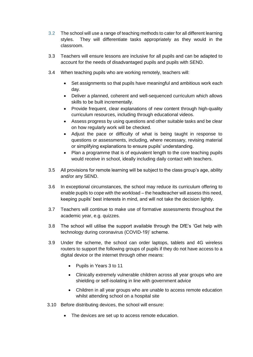- 3.2 The school will use a range of teaching methods to cater for all different learning styles. They will differentiate tasks appropriately as they would in the classroom.
- 3.3 Teachers will ensure lessons are inclusive for all pupils and can be adapted to account for the needs of disadvantaged pupils and pupils with SEND.
- 3.4 When teaching pupils who are working remotely, teachers will:
	- Set assignments so that pupils have meaningful and ambitious work each day.
	- Deliver a planned, coherent and well-sequenced curriculum which allows skills to be built incrementally.
	- Provide frequent, clear explanations of new content through high-quality curriculum resources, including through educational videos.
	- Assess progress by using questions and other suitable tasks and be clear on how regularly work will be checked.
	- Adjust the pace or difficulty of what is being taught in response to questions or assessments, including, where necessary, revising material or simplifying explanations to ensure pupils' understanding.
	- Plan a programme that is of equivalent length to the core teaching pupils would receive in school, ideally including daily contact with teachers.
- 3.5 All provisions for remote learning will be subject to the class group's age, ability and/or any SEND.
- 3.6 In exceptional circumstances, the school may reduce its curriculum offering to enable pupils to cope with the workload – the headteacher will assess this need, keeping pupils' best interests in mind, and will not take the decision lightly.
- 3.7 Teachers will continue to make use of formative assessments throughout the academic year, e.g. quizzes.
- 3.8 The school will utilise the support available through the DfE's 'Get help with technology during coronavirus (COVID-19)' scheme.
- 3.9 Under the scheme, the school can order laptops, tablets and 4G wireless routers to support the following groups of pupils if they do not have access to a digital device or the internet through other means:
	- Pupils in Years 3 to 11
	- Clinically extremely vulnerable children across all year groups who are shielding or self-isolating in line with government advice
	- Children in all year groups who are unable to access remote education whilst attending school on a hospital site
- 3.10 Before distributing devices, the school will ensure:
	- The devices are set up to access remote education.